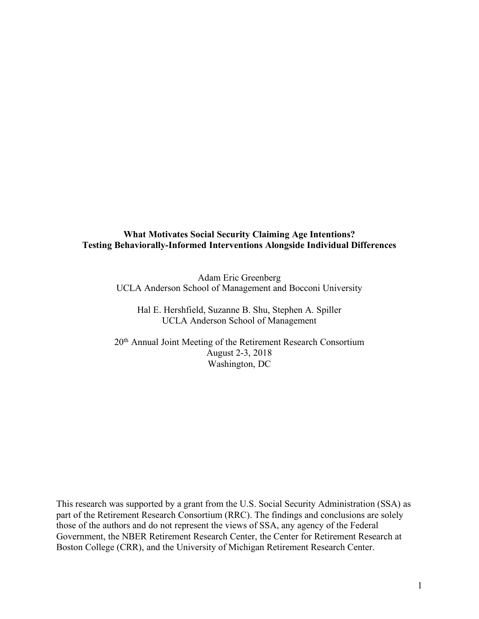## **What Motivates Social Security Claiming Age Intentions? Testing Behaviorally-Informed Interventions Alongside Individual Differences**

Adam Eric Greenberg UCLA Anderson School of Management and Bocconi University

Hal E. Hershfield, Suzanne B. Shu, Stephen A. Spiller UCLA Anderson School of Management

20th Annual Joint Meeting of the Retirement Research Consortium August 2-3, 2018 Washington, DC

This research was supported by a grant from the U.S. Social Security Administration (SSA) as part of the Retirement Research Consortium (RRC). The findings and conclusions are solely those of the authors and do not represent the views of SSA, any agency of the Federal Government, the NBER Retirement Research Center, the Center for Retirement Research at Boston College (CRR), and the University of Michigan Retirement Research Center.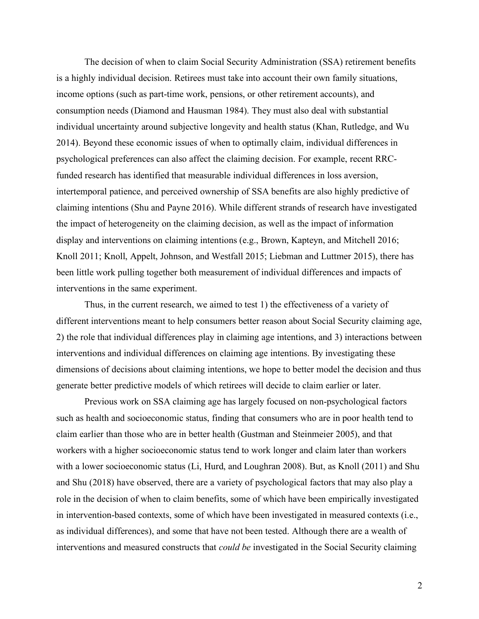The decision of when to claim Social Security Administration (SSA) retirement benefits is a highly individual decision. Retirees must take into account their own family situations, income options (such as part-time work, pensions, or other retirement accounts), and consumption needs (Diamond and Hausman 1984). They must also deal with substantial individual uncertainty around subjective longevity and health status (Khan, Rutledge, and Wu 2014). Beyond these economic issues of when to optimally claim, individual differences in psychological preferences can also affect the claiming decision. For example, recent RRCfunded research has identified that measurable individual differences in loss aversion, intertemporal patience, and perceived ownership of SSA benefits are also highly predictive of claiming intentions (Shu and Payne 2016). While different strands of research have investigated the impact of heterogeneity on the claiming decision, as well as the impact of information display and interventions on claiming intentions (e.g., Brown, Kapteyn, and Mitchell 2016; Knoll 2011; Knoll, Appelt, Johnson, and Westfall 2015; Liebman and Luttmer 2015), there has been little work pulling together both measurement of individual differences and impacts of interventions in the same experiment.

Thus, in the current research, we aimed to test 1) the effectiveness of a variety of different interventions meant to help consumers better reason about Social Security claiming age, 2) the role that individual differences play in claiming age intentions, and 3) interactions between interventions and individual differences on claiming age intentions. By investigating these dimensions of decisions about claiming intentions, we hope to better model the decision and thus generate better predictive models of which retirees will decide to claim earlier or later.

Previous work on SSA claiming age has largely focused on non-psychological factors such as health and socioeconomic status, finding that consumers who are in poor health tend to claim earlier than those who are in better health (Gustman and Steinmeier 2005), and that workers with a higher socioeconomic status tend to work longer and claim later than workers with a lower socioeconomic status (Li, Hurd, and Loughran 2008). But, as Knoll (2011) and Shu and Shu (2018) have observed, there are a variety of psychological factors that may also play a role in the decision of when to claim benefits, some of which have been empirically investigated in intervention-based contexts, some of which have been investigated in measured contexts (i.e., as individual differences), and some that have not been tested. Although there are a wealth of interventions and measured constructs that *could be* investigated in the Social Security claiming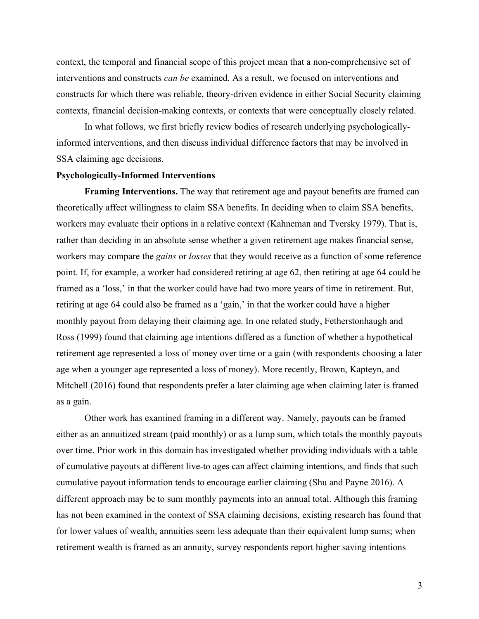context, the temporal and financial scope of this project mean that a non-comprehensive set of interventions and constructs *can be* examined. As a result, we focused on interventions and constructs for which there was reliable, theory-driven evidence in either Social Security claiming contexts, financial decision-making contexts, or contexts that were conceptually closely related.

In what follows, we first briefly review bodies of research underlying psychologicallyinformed interventions, and then discuss individual difference factors that may be involved in SSA claiming age decisions.

#### **Psychologically-Informed Interventions**

**Framing Interventions.** The way that retirement age and payout benefits are framed can theoretically affect willingness to claim SSA benefits. In deciding when to claim SSA benefits, workers may evaluate their options in a relative context (Kahneman and Tversky 1979). That is, rather than deciding in an absolute sense whether a given retirement age makes financial sense, workers may compare the *gains* or *losses* that they would receive as a function of some reference point. If, for example, a worker had considered retiring at age 62, then retiring at age 64 could be framed as a 'loss,' in that the worker could have had two more years of time in retirement. But, retiring at age 64 could also be framed as a 'gain,' in that the worker could have a higher monthly payout from delaying their claiming age. In one related study, Fetherstonhaugh and Ross (1999) found that claiming age intentions differed as a function of whether a hypothetical retirement age represented a loss of money over time or a gain (with respondents choosing a later age when a younger age represented a loss of money). More recently, Brown, Kapteyn, and Mitchell (2016) found that respondents prefer a later claiming age when claiming later is framed as a gain.

Other work has examined framing in a different way. Namely, payouts can be framed either as an annuitized stream (paid monthly) or as a lump sum, which totals the monthly payouts over time. Prior work in this domain has investigated whether providing individuals with a table of cumulative payouts at different live-to ages can affect claiming intentions, and finds that such cumulative payout information tends to encourage earlier claiming (Shu and Payne 2016). A different approach may be to sum monthly payments into an annual total. Although this framing has not been examined in the context of SSA claiming decisions, existing research has found that for lower values of wealth, annuities seem less adequate than their equivalent lump sums; when retirement wealth is framed as an annuity, survey respondents report higher saving intentions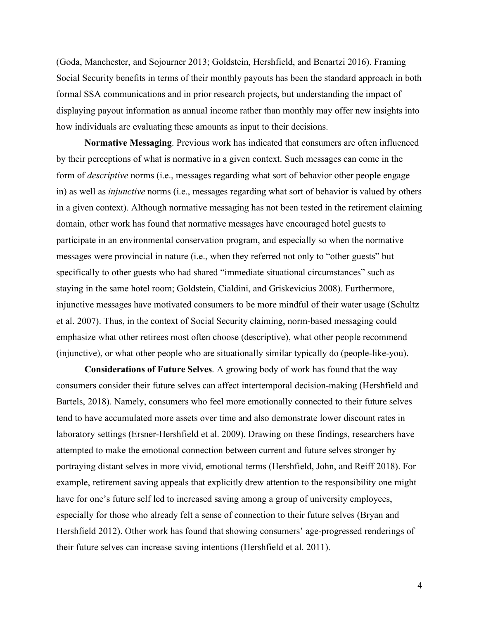(Goda, Manchester, and Sojourner 2013; Goldstein, Hershfield, and Benartzi 2016). Framing Social Security benefits in terms of their monthly payouts has been the standard approach in both formal SSA communications and in prior research projects, but understanding the impact of displaying payout information as annual income rather than monthly may offer new insights into how individuals are evaluating these amounts as input to their decisions.

**Normative Messaging**. Previous work has indicated that consumers are often influenced by their perceptions of what is normative in a given context. Such messages can come in the form of *descriptive* norms (i.e., messages regarding what sort of behavior other people engage in) as well as *injunctive* norms (i.e., messages regarding what sort of behavior is valued by others in a given context). Although normative messaging has not been tested in the retirement claiming domain, other work has found that normative messages have encouraged hotel guests to participate in an environmental conservation program, and especially so when the normative messages were provincial in nature (i.e., when they referred not only to "other guests" but specifically to other guests who had shared "immediate situational circumstances" such as staying in the same hotel room; Goldstein, Cialdini, and Griskevicius 2008). Furthermore, injunctive messages have motivated consumers to be more mindful of their water usage (Schultz et al. 2007). Thus, in the context of Social Security claiming, norm-based messaging could emphasize what other retirees most often choose (descriptive), what other people recommend (injunctive), or what other people who are situationally similar typically do (people-like-you).

**Considerations of Future Selves**. A growing body of work has found that the way consumers consider their future selves can affect intertemporal decision-making (Hershfield and Bartels, 2018). Namely, consumers who feel more emotionally connected to their future selves tend to have accumulated more assets over time and also demonstrate lower discount rates in laboratory settings (Ersner-Hershfield et al. 2009). Drawing on these findings, researchers have attempted to make the emotional connection between current and future selves stronger by portraying distant selves in more vivid, emotional terms (Hershfield, John, and Reiff 2018). For example, retirement saving appeals that explicitly drew attention to the responsibility one might have for one's future self led to increased saving among a group of university employees, especially for those who already felt a sense of connection to their future selves (Bryan and Hershfield 2012). Other work has found that showing consumers' age-progressed renderings of their future selves can increase saving intentions (Hershfield et al. 2011).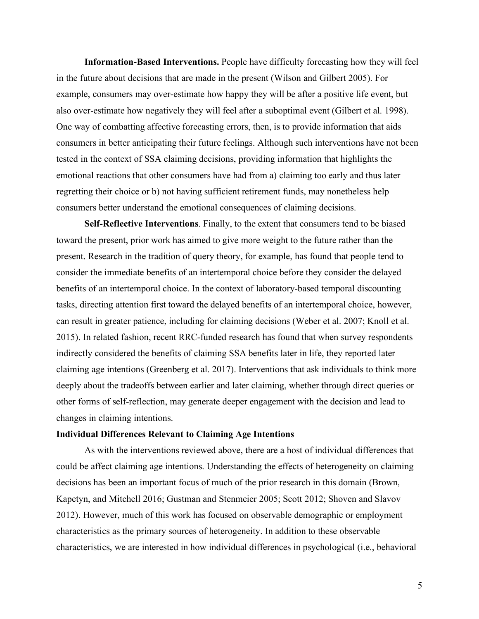**Information-Based Interventions.** People have difficulty forecasting how they will feel in the future about decisions that are made in the present (Wilson and Gilbert 2005). For example, consumers may over-estimate how happy they will be after a positive life event, but also over-estimate how negatively they will feel after a suboptimal event (Gilbert et al. 1998). One way of combatting affective forecasting errors, then, is to provide information that aids consumers in better anticipating their future feelings. Although such interventions have not been tested in the context of SSA claiming decisions, providing information that highlights the emotional reactions that other consumers have had from a) claiming too early and thus later regretting their choice or b) not having sufficient retirement funds, may nonetheless help consumers better understand the emotional consequences of claiming decisions.

**Self-Reflective Interventions**. Finally, to the extent that consumers tend to be biased toward the present, prior work has aimed to give more weight to the future rather than the present. Research in the tradition of query theory, for example, has found that people tend to consider the immediate benefits of an intertemporal choice before they consider the delayed benefits of an intertemporal choice. In the context of laboratory-based temporal discounting tasks, directing attention first toward the delayed benefits of an intertemporal choice, however, can result in greater patience, including for claiming decisions (Weber et al. 2007; Knoll et al. 2015). In related fashion, recent RRC-funded research has found that when survey respondents indirectly considered the benefits of claiming SSA benefits later in life, they reported later claiming age intentions (Greenberg et al. 2017). Interventions that ask individuals to think more deeply about the tradeoffs between earlier and later claiming, whether through direct queries or other forms of self-reflection, may generate deeper engagement with the decision and lead to changes in claiming intentions.

## **Individual Differences Relevant to Claiming Age Intentions**

As with the interventions reviewed above, there are a host of individual differences that could be affect claiming age intentions. Understanding the effects of heterogeneity on claiming decisions has been an important focus of much of the prior research in this domain (Brown, Kapetyn, and Mitchell 2016; Gustman and Stenmeier 2005; Scott 2012; Shoven and Slavov 2012). However, much of this work has focused on observable demographic or employment characteristics as the primary sources of heterogeneity. In addition to these observable characteristics, we are interested in how individual differences in psychological (i.e., behavioral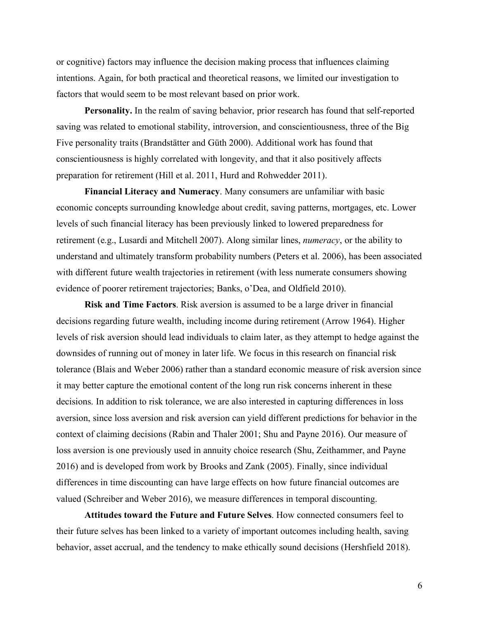or cognitive) factors may influence the decision making process that influences claiming intentions. Again, for both practical and theoretical reasons, we limited our investigation to factors that would seem to be most relevant based on prior work.

**Personality.** In the realm of saving behavior, prior research has found that self-reported saving was related to emotional stability, introversion, and conscientiousness, three of the Big Five personality traits (Brandstätter and Güth 2000). Additional work has found that conscientiousness is highly correlated with longevity, and that it also positively affects preparation for retirement (Hill et al. 2011, Hurd and Rohwedder 2011).

**Financial Literacy and Numeracy**. Many consumers are unfamiliar with basic economic concepts surrounding knowledge about credit, saving patterns, mortgages, etc. Lower levels of such financial literacy has been previously linked to lowered preparedness for retirement (e.g., Lusardi and Mitchell 2007). Along similar lines, *numeracy*, or the ability to understand and ultimately transform probability numbers (Peters et al. 2006), has been associated with different future wealth trajectories in retirement (with less numerate consumers showing evidence of poorer retirement trajectories; Banks, o'Dea, and Oldfield 2010).

**Risk and Time Factors**. Risk aversion is assumed to be a large driver in financial decisions regarding future wealth, including income during retirement (Arrow 1964). Higher levels of risk aversion should lead individuals to claim later, as they attempt to hedge against the downsides of running out of money in later life. We focus in this research on financial risk tolerance (Blais and Weber 2006) rather than a standard economic measure of risk aversion since it may better capture the emotional content of the long run risk concerns inherent in these decisions. In addition to risk tolerance, we are also interested in capturing differences in loss aversion, since loss aversion and risk aversion can yield different predictions for behavior in the context of claiming decisions (Rabin and Thaler 2001; Shu and Payne 2016). Our measure of loss aversion is one previously used in annuity choice research (Shu, Zeithammer, and Payne 2016) and is developed from work by Brooks and Zank (2005). Finally, since individual differences in time discounting can have large effects on how future financial outcomes are valued (Schreiber and Weber 2016), we measure differences in temporal discounting.

**Attitudes toward the Future and Future Selves**. How connected consumers feel to their future selves has been linked to a variety of important outcomes including health, saving behavior, asset accrual, and the tendency to make ethically sound decisions (Hershfield 2018).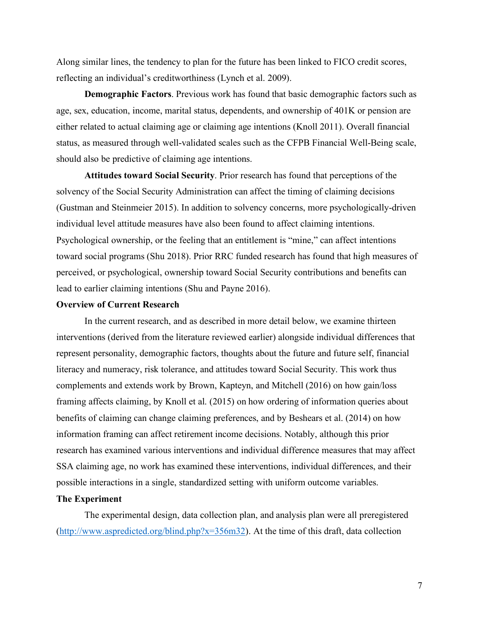Along similar lines, the tendency to plan for the future has been linked to FICO credit scores, reflecting an individual's creditworthiness (Lynch et al. 2009).

**Demographic Factors**. Previous work has found that basic demographic factors such as age, sex, education, income, marital status, dependents, and ownership of 401K or pension are either related to actual claiming age or claiming age intentions (Knoll 2011). Overall financial status, as measured through well-validated scales such as the CFPB Financial Well-Being scale, should also be predictive of claiming age intentions.

**Attitudes toward Social Security**. Prior research has found that perceptions of the solvency of the Social Security Administration can affect the timing of claiming decisions (Gustman and Steinmeier 2015). In addition to solvency concerns, more psychologically-driven individual level attitude measures have also been found to affect claiming intentions. Psychological ownership, or the feeling that an entitlement is "mine," can affect intentions toward social programs (Shu 2018). Prior RRC funded research has found that high measures of perceived, or psychological, ownership toward Social Security contributions and benefits can lead to earlier claiming intentions (Shu and Payne 2016).

#### **Overview of Current Research**

In the current research, and as described in more detail below, we examine thirteen interventions (derived from the literature reviewed earlier) alongside individual differences that represent personality, demographic factors, thoughts about the future and future self, financial literacy and numeracy, risk tolerance, and attitudes toward Social Security. This work thus complements and extends work by Brown, Kapteyn, and Mitchell (2016) on how gain/loss framing affects claiming, by Knoll et al. (2015) on how ordering of information queries about benefits of claiming can change claiming preferences, and by Beshears et al. (2014) on how information framing can affect retirement income decisions. Notably, although this prior research has examined various interventions and individual difference measures that may affect SSA claiming age, no work has examined these interventions, individual differences, and their possible interactions in a single, standardized setting with uniform outcome variables.

# **The Experiment**

The experimental design, data collection plan, and analysis plan were all preregistered (http://www.aspredicted.org/blind.php?x=356m32). At the time of this draft, data collection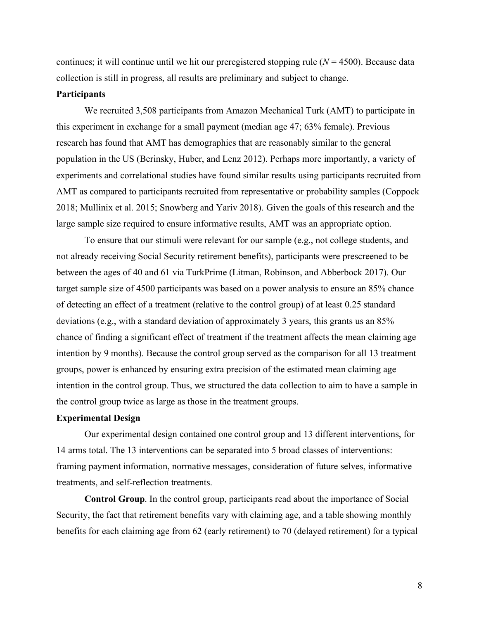continues; it will continue until we hit our preregistered stopping rule (*N* = 4500). Because data collection is still in progress, all results are preliminary and subject to change.

### **Participants**

We recruited 3,508 participants from Amazon Mechanical Turk (AMT) to participate in this experiment in exchange for a small payment (median age 47; 63% female). Previous research has found that AMT has demographics that are reasonably similar to the general population in the US (Berinsky, Huber, and Lenz 2012). Perhaps more importantly, a variety of experiments and correlational studies have found similar results using participants recruited from AMT as compared to participants recruited from representative or probability samples (Coppock 2018; Mullinix et al. 2015; Snowberg and Yariv 2018). Given the goals of this research and the large sample size required to ensure informative results, AMT was an appropriate option.

To ensure that our stimuli were relevant for our sample (e.g., not college students, and not already receiving Social Security retirement benefits), participants were prescreened to be between the ages of 40 and 61 via TurkPrime (Litman, Robinson, and Abberbock 2017). Our target sample size of 4500 participants was based on a power analysis to ensure an 85% chance of detecting an effect of a treatment (relative to the control group) of at least 0.25 standard deviations (e.g., with a standard deviation of approximately 3 years, this grants us an 85% chance of finding a significant effect of treatment if the treatment affects the mean claiming age intention by 9 months). Because the control group served as the comparison for all 13 treatment groups, power is enhanced by ensuring extra precision of the estimated mean claiming age intention in the control group. Thus, we structured the data collection to aim to have a sample in the control group twice as large as those in the treatment groups.

### **Experimental Design**

Our experimental design contained one control group and 13 different interventions, for 14 arms total. The 13 interventions can be separated into 5 broad classes of interventions: framing payment information, normative messages, consideration of future selves, informative treatments, and self-reflection treatments.

**Control Group**. In the control group, participants read about the importance of Social Security, the fact that retirement benefits vary with claiming age, and a table showing monthly benefits for each claiming age from 62 (early retirement) to 70 (delayed retirement) for a typical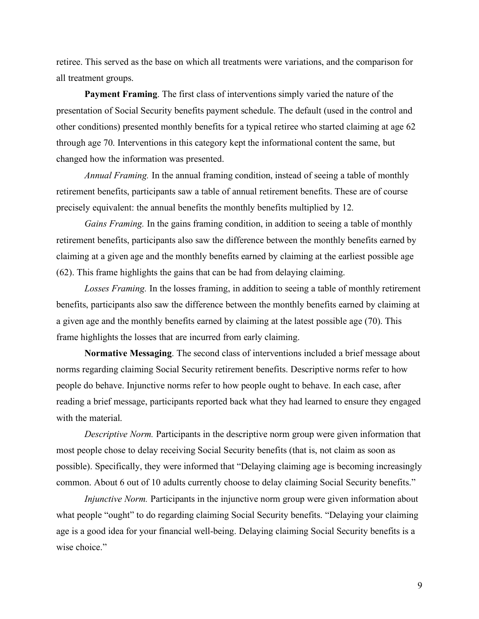retiree. This served as the base on which all treatments were variations, and the comparison for all treatment groups.

**Payment Framing**. The first class of interventions simply varied the nature of the presentation of Social Security benefits payment schedule. The default (used in the control and other conditions) presented monthly benefits for a typical retiree who started claiming at age 62 through age 70. Interventions in this category kept the informational content the same, but changed how the information was presented.

*Annual Framing.* In the annual framing condition, instead of seeing a table of monthly retirement benefits, participants saw a table of annual retirement benefits. These are of course precisely equivalent: the annual benefits the monthly benefits multiplied by 12.

*Gains Framing.* In the gains framing condition, in addition to seeing a table of monthly retirement benefits, participants also saw the difference between the monthly benefits earned by claiming at a given age and the monthly benefits earned by claiming at the earliest possible age (62). This frame highlights the gains that can be had from delaying claiming.

*Losses Framing.* In the losses framing, in addition to seeing a table of monthly retirement benefits, participants also saw the difference between the monthly benefits earned by claiming at a given age and the monthly benefits earned by claiming at the latest possible age (70). This frame highlights the losses that are incurred from early claiming.

**Normative Messaging**. The second class of interventions included a brief message about norms regarding claiming Social Security retirement benefits. Descriptive norms refer to how people do behave. Injunctive norms refer to how people ought to behave. In each case, after reading a brief message, participants reported back what they had learned to ensure they engaged with the material.

*Descriptive Norm.* Participants in the descriptive norm group were given information that most people chose to delay receiving Social Security benefits (that is, not claim as soon as possible). Specifically, they were informed that "Delaying claiming age is becoming increasingly common. About 6 out of 10 adults currently choose to delay claiming Social Security benefits."

*Injunctive Norm.* Participants in the injunctive norm group were given information about what people "ought" to do regarding claiming Social Security benefits. "Delaying your claiming age is a good idea for your financial well-being. Delaying claiming Social Security benefits is a wise choice."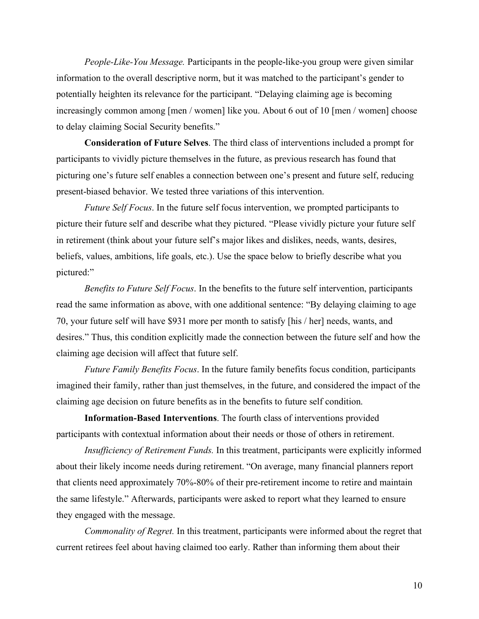*People-Like-You Message.* Participants in the people-like-you group were given similar information to the overall descriptive norm, but it was matched to the participant's gender to potentially heighten its relevance for the participant. "Delaying claiming age is becoming increasingly common among [men / women] like you. About 6 out of 10 [men / women] choose to delay claiming Social Security benefits."

**Consideration of Future Selves**. The third class of interventions included a prompt for participants to vividly picture themselves in the future, as previous research has found that picturing one's future self enables a connection between one's present and future self, reducing present-biased behavior. We tested three variations of this intervention.

*Future Self Focus*. In the future self focus intervention, we prompted participants to picture their future self and describe what they pictured. "Please vividly picture your future self in retirement (think about your future self's major likes and dislikes, needs, wants, desires, beliefs, values, ambitions, life goals, etc.). Use the space below to briefly describe what you pictured:"

*Benefits to Future Self Focus*. In the benefits to the future self intervention, participants read the same information as above, with one additional sentence: "By delaying claiming to age 70, your future self will have \$931 more per month to satisfy [his / her] needs, wants, and desires." Thus, this condition explicitly made the connection between the future self and how the claiming age decision will affect that future self.

*Future Family Benefits Focus*. In the future family benefits focus condition, participants imagined their family, rather than just themselves, in the future, and considered the impact of the claiming age decision on future benefits as in the benefits to future self condition.

**Information-Based Interventions**. The fourth class of interventions provided participants with contextual information about their needs or those of others in retirement.

*Insufficiency of Retirement Funds.* In this treatment, participants were explicitly informed about their likely income needs during retirement. "On average, many financial planners report that clients need approximately 70%-80% of their pre-retirement income to retire and maintain the same lifestyle." Afterwards, participants were asked to report what they learned to ensure they engaged with the message.

*Commonality of Regret.* In this treatment, participants were informed about the regret that current retirees feel about having claimed too early. Rather than informing them about their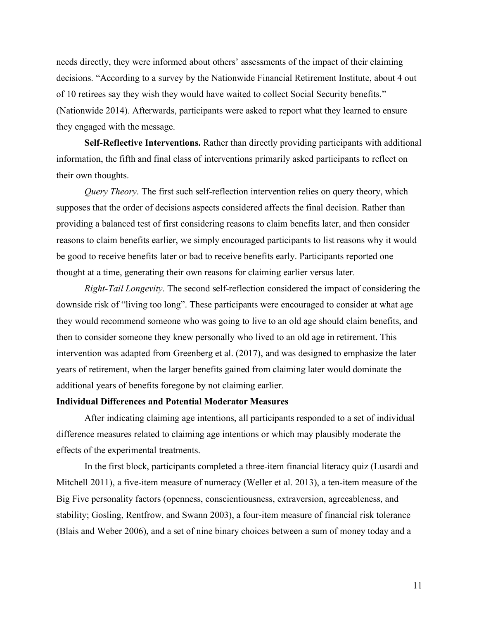needs directly, they were informed about others' assessments of the impact of their claiming decisions. "According to a survey by the Nationwide Financial Retirement Institute, about 4 out of 10 retirees say they wish they would have waited to collect Social Security benefits." (Nationwide 2014). Afterwards, participants were asked to report what they learned to ensure they engaged with the message.

**Self-Reflective Interventions.** Rather than directly providing participants with additional information, the fifth and final class of interventions primarily asked participants to reflect on their own thoughts.

*Query Theory*. The first such self-reflection intervention relies on query theory, which supposes that the order of decisions aspects considered affects the final decision. Rather than providing a balanced test of first considering reasons to claim benefits later, and then consider reasons to claim benefits earlier, we simply encouraged participants to list reasons why it would be good to receive benefits later or bad to receive benefits early. Participants reported one thought at a time, generating their own reasons for claiming earlier versus later.

*Right-Tail Longevity*. The second self-reflection considered the impact of considering the downside risk of "living too long". These participants were encouraged to consider at what age they would recommend someone who was going to live to an old age should claim benefits, and then to consider someone they knew personally who lived to an old age in retirement. This intervention was adapted from Greenberg et al. (2017), and was designed to emphasize the later years of retirement, when the larger benefits gained from claiming later would dominate the additional years of benefits foregone by not claiming earlier.

# **Individual Differences and Potential Moderator Measures**

After indicating claiming age intentions, all participants responded to a set of individual difference measures related to claiming age intentions or which may plausibly moderate the effects of the experimental treatments.

In the first block, participants completed a three-item financial literacy quiz (Lusardi and Mitchell 2011), a five-item measure of numeracy (Weller et al. 2013), a ten-item measure of the Big Five personality factors (openness, conscientiousness, extraversion, agreeableness, and stability; Gosling, Rentfrow, and Swann 2003), a four-item measure of financial risk tolerance (Blais and Weber 2006), and a set of nine binary choices between a sum of money today and a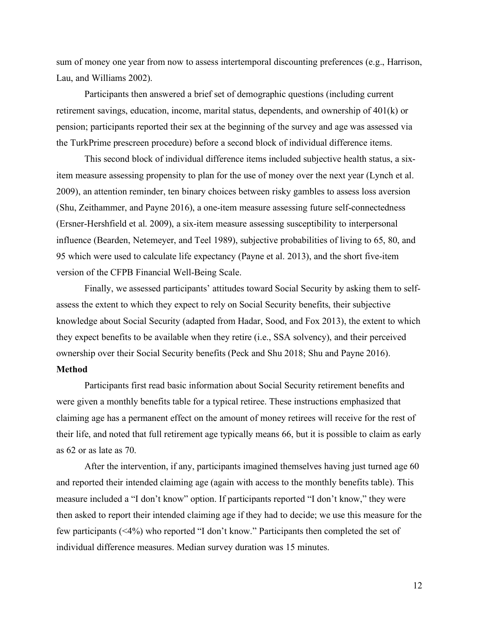sum of money one year from now to assess intertemporal discounting preferences (e.g., Harrison, Lau, and Williams 2002).

Participants then answered a brief set of demographic questions (including current retirement savings, education, income, marital status, dependents, and ownership of 401(k) or pension; participants reported their sex at the beginning of the survey and age was assessed via the TurkPrime prescreen procedure) before a second block of individual difference items.

This second block of individual difference items included subjective health status, a sixitem measure assessing propensity to plan for the use of money over the next year (Lynch et al. 2009), an attention reminder, ten binary choices between risky gambles to assess loss aversion (Shu, Zeithammer, and Payne 2016), a one-item measure assessing future self-connectedness (Ersner-Hershfield et al. 2009), a six-item measure assessing susceptibility to interpersonal influence (Bearden, Netemeyer, and Teel 1989), subjective probabilities of living to 65, 80, and 95 which were used to calculate life expectancy (Payne et al. 2013), and the short five-item version of the CFPB Financial Well-Being Scale.

Finally, we assessed participants' attitudes toward Social Security by asking them to selfassess the extent to which they expect to rely on Social Security benefits, their subjective knowledge about Social Security (adapted from Hadar, Sood, and Fox 2013), the extent to which they expect benefits to be available when they retire (i.e., SSA solvency), and their perceived ownership over their Social Security benefits (Peck and Shu 2018; Shu and Payne 2016).

### **Method**

Participants first read basic information about Social Security retirement benefits and were given a monthly benefits table for a typical retiree. These instructions emphasized that claiming age has a permanent effect on the amount of money retirees will receive for the rest of their life, and noted that full retirement age typically means 66, but it is possible to claim as early as 62 or as late as 70.

After the intervention, if any, participants imagined themselves having just turned age 60 and reported their intended claiming age (again with access to the monthly benefits table). This measure included a "I don't know" option. If participants reported "I don't know," they were then asked to report their intended claiming age if they had to decide; we use this measure for the few participants (<4%) who reported "I don't know." Participants then completed the set of individual difference measures. Median survey duration was 15 minutes.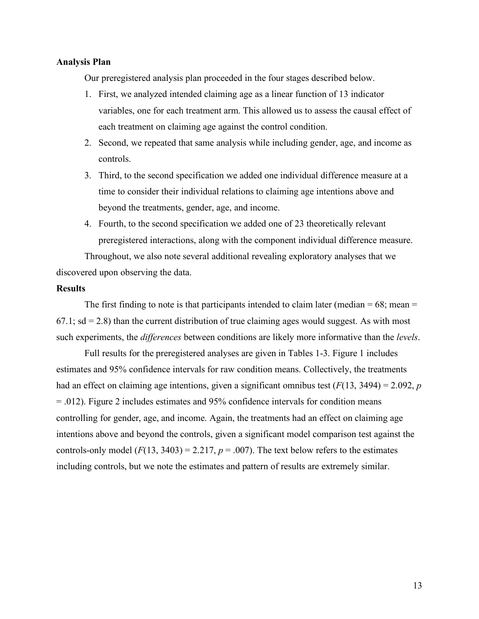### **Analysis Plan**

Our preregistered analysis plan proceeded in the four stages described below.

- 1. First, we analyzed intended claiming age as a linear function of 13 indicator variables, one for each treatment arm. This allowed us to assess the causal effect of each treatment on claiming age against the control condition.
- 2. Second, we repeated that same analysis while including gender, age, and income as controls.
- 3. Third, to the second specification we added one individual difference measure at a time to consider their individual relations to claiming age intentions above and beyond the treatments, gender, age, and income.
- 4. Fourth, to the second specification we added one of 23 theoretically relevant preregistered interactions, along with the component individual difference measure.

Throughout, we also note several additional revealing exploratory analyses that we discovered upon observing the data.

### **Results**

The first finding to note is that participants intended to claim later (median  $= 68$ ; mean  $=$  $67.1$ ; sd = 2.8) than the current distribution of true claiming ages would suggest. As with most such experiments, the *differences* between conditions are likely more informative than the *levels*.

Full results for the preregistered analyses are given in Tables 1-3. Figure 1 includes estimates and 95% confidence intervals for raw condition means. Collectively, the treatments had an effect on claiming age intentions, given a significant omnibus test  $(F(13, 3494) = 2.092, p$ = .012). Figure 2 includes estimates and 95% confidence intervals for condition means controlling for gender, age, and income. Again, the treatments had an effect on claiming age intentions above and beyond the controls, given a significant model comparison test against the controls-only model  $(F(13, 3403) = 2.217, p = .007)$ . The text below refers to the estimates including controls, but we note the estimates and pattern of results are extremely similar.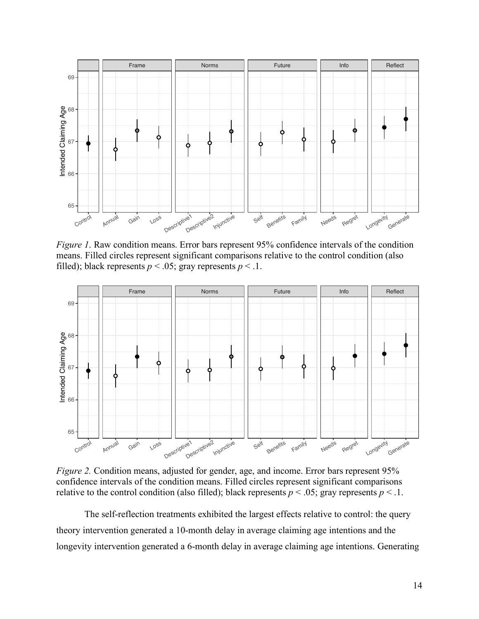

*Figure 1*. Raw condition means. Error bars represent 95% confidence intervals of the condition means. Filled circles represent significant comparisons relative to the control condition (also filled); black represents  $p < .05$ ; gray represents  $p < .1$ .



*Figure 2.* Condition means, adjusted for gender, age, and income. Error bars represent 95% confidence intervals of the condition means. Filled circles represent significant comparisons relative to the control condition (also filled); black represents  $p < .05$ ; gray represents  $p < .1$ .

The self-reflection treatments exhibited the largest effects relative to control: the query theory intervention generated a 10-month delay in average claiming age intentions and the longevity intervention generated a 6-month delay in average claiming age intentions. Generating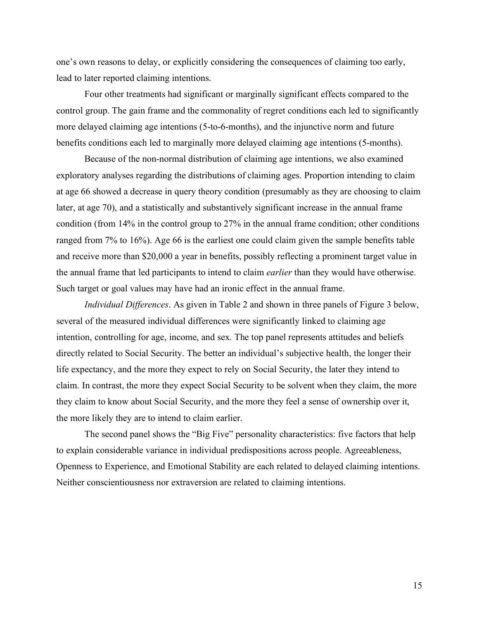one's own reasons to delay, or explicitly considering the consequences of claiming too early, lead to later reported claiming intentions.

Four other treatments had significant or marginally significant effects compared to the control group. The gain frame and the commonality of regret conditions each led to significantly more delayed claiming age intentions (5-to-6-months), and the injunctive norm and future benefits conditions each led to marginally more delayed claiming age intentions (5-months).

Because of the non-normal distribution of claiming age intentions, we also examined exploratory analyses regarding the distributions of claiming ages. Proportion intending to claim at age 66 showed a decrease in query theory condition (presumably as they are choosing to claim later, at age 70), and a statistically and substantively significant increase in the annual frame condition (from 14% in the control group to 27% in the annual frame condition; other conditions ranged from 7% to 16%). Age 66 is the earliest one could claim given the sample benefits table and receive more than \$20,000 a year in benefits, possibly reflecting a prominent target value in the annual frame that led participants to intend to claim *earlier* than they would have otherwise. Such target or goal values may have had an ironic effect in the annual frame.

*Individual Differences*. As given in Table 2 and shown in three panels of Figure 3 below, several of the measured individual differences were significantly linked to claiming age intention, controlling for age, income, and sex. The top panel represents attitudes and beliefs directly related to Social Security. The better an individual's subjective health, the longer their life expectancy, and the more they expect to rely on Social Security, the later they intend to claim. In contrast, the more they expect Social Security to be solvent when they claim, the more they claim to know about Social Security, and the more they feel a sense of ownership over it, the more likely they are to intend to claim earlier.

The second panel shows the "Big Five" personality characteristics: five factors that help to explain considerable variance in individual predispositions across people. Agreeableness, Openness to Experience, and Emotional Stability are each related to delayed claiming intentions. Neither conscientiousness nor extraversion are related to claiming intentions.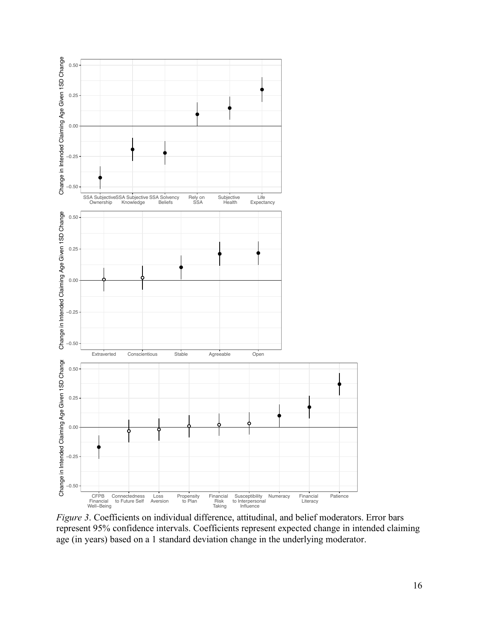

*Figure 3*. Coefficients on individual difference, attitudinal, and belief moderators. Error bars represent 95% confidence intervals. Coefficients represent expected change in intended claiming age (in years) based on a 1 standard deviation change in the underlying moderator.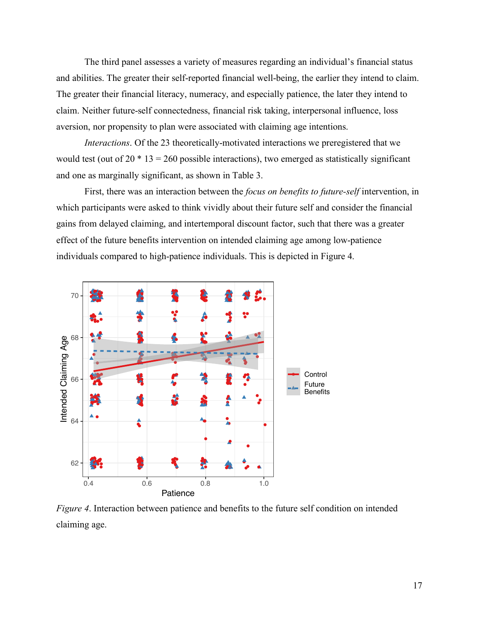The third panel assesses a variety of measures regarding an individual's financial status and abilities. The greater their self-reported financial well-being, the earlier they intend to claim. The greater their financial literacy, numeracy, and especially patience, the later they intend to claim. Neither future-self connectedness, financial risk taking, interpersonal influence, loss aversion, nor propensity to plan were associated with claiming age intentions.

*Interactions*. Of the 23 theoretically-motivated interactions we preregistered that we would test (out of  $20 * 13 = 260$  possible interactions), two emerged as statistically significant and one as marginally significant, as shown in Table 3.

First, there was an interaction between the *focus on benefits to future-self* intervention, in which participants were asked to think vividly about their future self and consider the financial gains from delayed claiming, and intertemporal discount factor, such that there was a greater effect of the future benefits intervention on intended claiming age among low-patience individuals compared to high-patience individuals. This is depicted in Figure 4.



*Figure 4*. Interaction between patience and benefits to the future self condition on intended claiming age.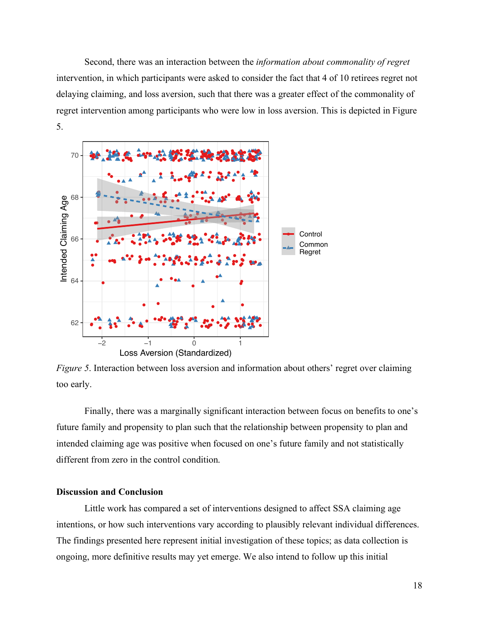Second, there was an interaction between the *information about commonality of regret* intervention, in which participants were asked to consider the fact that 4 of 10 retirees regret not delaying claiming, and loss aversion, such that there was a greater effect of the commonality of regret intervention among participants who were low in loss aversion. This is depicted in Figure 5.



*Figure 5*. Interaction between loss aversion and information about others' regret over claiming too early.

Finally, there was a marginally significant interaction between focus on benefits to one's future family and propensity to plan such that the relationship between propensity to plan and intended claiming age was positive when focused on one's future family and not statistically different from zero in the control condition.

### **Discussion and Conclusion**

Little work has compared a set of interventions designed to affect SSA claiming age intentions, or how such interventions vary according to plausibly relevant individual differences. The findings presented here represent initial investigation of these topics; as data collection is ongoing, more definitive results may yet emerge. We also intend to follow up this initial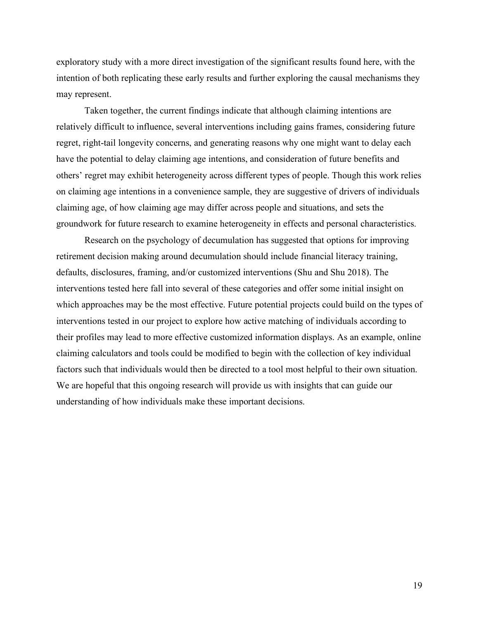exploratory study with a more direct investigation of the significant results found here, with the intention of both replicating these early results and further exploring the causal mechanisms they may represent.

Taken together, the current findings indicate that although claiming intentions are relatively difficult to influence, several interventions including gains frames, considering future regret, right-tail longevity concerns, and generating reasons why one might want to delay each have the potential to delay claiming age intentions, and consideration of future benefits and others' regret may exhibit heterogeneity across different types of people. Though this work relies on claiming age intentions in a convenience sample, they are suggestive of drivers of individuals claiming age, of how claiming age may differ across people and situations, and sets the groundwork for future research to examine heterogeneity in effects and personal characteristics.

Research on the psychology of decumulation has suggested that options for improving retirement decision making around decumulation should include financial literacy training, defaults, disclosures, framing, and/or customized interventions (Shu and Shu 2018). The interventions tested here fall into several of these categories and offer some initial insight on which approaches may be the most effective. Future potential projects could build on the types of interventions tested in our project to explore how active matching of individuals according to their profiles may lead to more effective customized information displays. As an example, online claiming calculators and tools could be modified to begin with the collection of key individual factors such that individuals would then be directed to a tool most helpful to their own situation. We are hopeful that this ongoing research will provide us with insights that can guide our understanding of how individuals make these important decisions.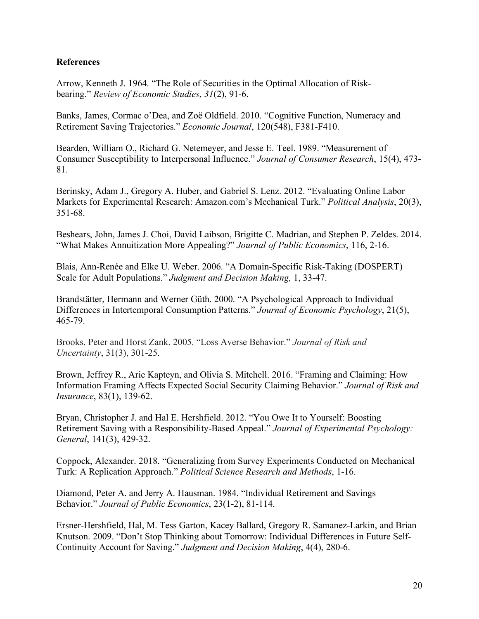# **References**

Arrow, Kenneth J. 1964. "The Role of Securities in the Optimal Allocation of Riskbearing." *Review of Economic Studies*, *31*(2), 91-6.

Banks, James, Cormac o'Dea, and Zoë Oldfield. 2010. "Cognitive Function, Numeracy and Retirement Saving Trajectories." *Economic Journal*, 120(548), F381-F410.

Bearden, William O., Richard G. Netemeyer, and Jesse E. Teel. 1989. "Measurement of Consumer Susceptibility to Interpersonal Influence." *Journal of Consumer Research*, 15(4), 473- 81.

Berinsky, Adam J., Gregory A. Huber, and Gabriel S. Lenz. 2012. "Evaluating Online Labor Markets for Experimental Research: Amazon.com's Mechanical Turk." *Political Analysis*, 20(3), 351-68.

Beshears, John, James J. Choi, David Laibson, Brigitte C. Madrian, and Stephen P. Zeldes. 2014. "What Makes Annuitization More Appealing?" *Journal of Public Economics*, 116, 2-16.

Blais, Ann-Renée and Elke U. Weber. 2006. "A Domain-Specific Risk-Taking (DOSPERT) Scale for Adult Populations." *Judgment and Decision Making,* 1, 33-47.

Brandstätter, Hermann and Werner Güth. 2000. "A Psychological Approach to Individual Differences in Intertemporal Consumption Patterns." *Journal of Economic Psychology*, 21(5), 465-79.

Brooks, Peter and Horst Zank. 2005. "Loss Averse Behavior." *Journal of Risk and Uncertainty*, 31(3), 301-25.

Brown, Jeffrey R., Arie Kapteyn, and Olivia S. Mitchell. 2016. "Framing and Claiming: How Information Framing Affects Expected Social Security Claiming Behavior." *Journal of Risk and Insurance*, 83(1), 139-62.

Bryan, Christopher J. and Hal E. Hershfield. 2012. "You Owe It to Yourself: Boosting Retirement Saving with a Responsibility-Based Appeal." *Journal of Experimental Psychology: General*, 141(3), 429-32.

Coppock, Alexander. 2018. "Generalizing from Survey Experiments Conducted on Mechanical Turk: A Replication Approach." *Political Science Research and Methods*, 1-16.

Diamond, Peter A. and Jerry A. Hausman. 1984. "Individual Retirement and Savings Behavior." *Journal of Public Economics*, 23(1-2), 81-114.

Ersner-Hershfield, Hal, M. Tess Garton, Kacey Ballard, Gregory R. Samanez-Larkin, and Brian Knutson. 2009. "Don't Stop Thinking about Tomorrow: Individual Differences in Future Self-Continuity Account for Saving." *Judgment and Decision Making*, 4(4), 280-6.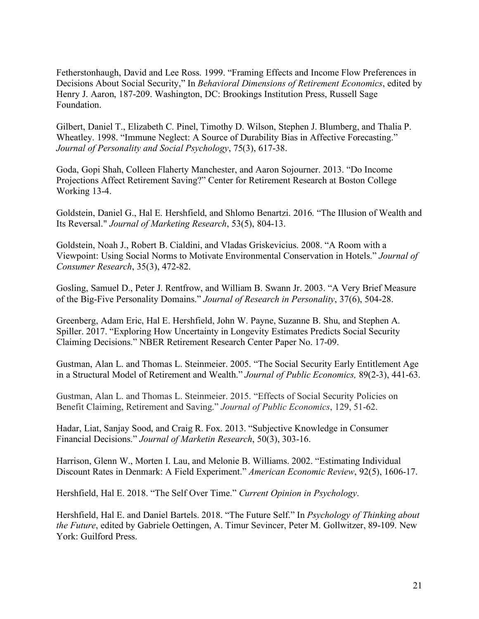Fetherstonhaugh, David and Lee Ross. 1999. "Framing Effects and Income Flow Preferences in Decisions About Social Security," In *Behavioral Dimensions of Retirement Economics*, edited by Henry J. Aaron, 187-209. Washington, DC: Brookings Institution Press, Russell Sage Foundation.

Gilbert, Daniel T., Elizabeth C. Pinel, Timothy D. Wilson, Stephen J. Blumberg, and Thalia P. Wheatley. 1998. "Immune Neglect: A Source of Durability Bias in Affective Forecasting." *Journal of Personality and Social Psychology*, 75(3), 617-38.

Goda, Gopi Shah, Colleen Flaherty Manchester, and Aaron Sojourner. 2013. "Do Income Projections Affect Retirement Saving?" Center for Retirement Research at Boston College Working 13-4.

Goldstein, Daniel G., Hal E. Hershfield, and Shlomo Benartzi. 2016. "The Illusion of Wealth and Its Reversal." *Journal of Marketing Research*, 53(5), 804-13.

Goldstein, Noah J., Robert B. Cialdini, and Vladas Griskevicius. 2008. "A Room with a Viewpoint: Using Social Norms to Motivate Environmental Conservation in Hotels." *Journal of Consumer Research*, 35(3), 472-82.

Gosling, Samuel D., Peter J. Rentfrow, and William B. Swann Jr. 2003. "A Very Brief Measure of the Big-Five Personality Domains." *Journal of Research in Personality*, 37(6), 504-28.

Greenberg, Adam Eric, Hal E. Hershfield, John W. Payne, Suzanne B. Shu, and Stephen A. Spiller. 2017. "Exploring How Uncertainty in Longevity Estimates Predicts Social Security Claiming Decisions." NBER Retirement Research Center Paper No. 17-09.

Gustman, Alan L. and Thomas L. Steinmeier. 2005. "The Social Security Early Entitlement Age in a Structural Model of Retirement and Wealth." *Journal of Public Economics,* 89(2-3), 441-63.

Gustman, Alan L. and Thomas L. Steinmeier. 2015. "Effects of Social Security Policies on Benefit Claiming, Retirement and Saving." *Journal of Public Economics*, 129, 51-62.

Hadar, Liat, Sanjay Sood, and Craig R. Fox. 2013. "Subjective Knowledge in Consumer Financial Decisions." *Journal of Marketin Research*, 50(3), 303-16.

Harrison, Glenn W., Morten I. Lau, and Melonie B. Williams. 2002. "Estimating Individual Discount Rates in Denmark: A Field Experiment." *American Economic Review*, 92(5), 1606-17.

Hershfield, Hal E. 2018. "The Self Over Time." *Current Opinion in Psychology*.

Hershfield, Hal E. and Daniel Bartels. 2018. "The Future Self." In *Psychology of Thinking about the Future*, edited by Gabriele Oettingen, A. Timur Sevincer, Peter M. Gollwitzer, 89-109. New York: Guilford Press.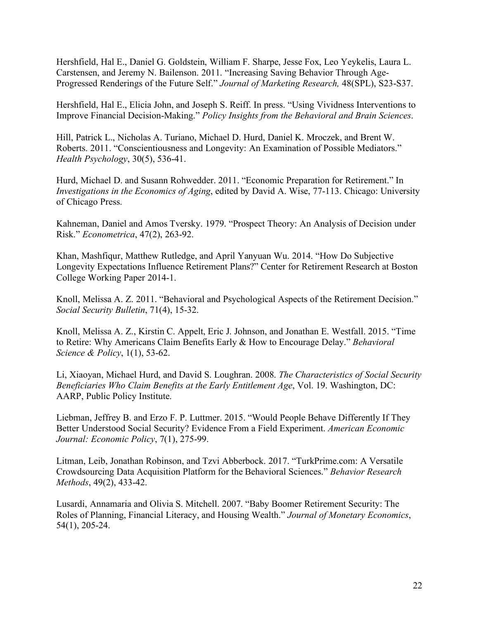Hershfield, Hal E., Daniel G. Goldstein, William F. Sharpe, Jesse Fox, Leo Yeykelis, Laura L. Carstensen, and Jeremy N. Bailenson. 2011. "Increasing Saving Behavior Through Age-Progressed Renderings of the Future Self." *Journal of Marketing Research,* 48(SPL), S23-S37.

Hershfield, Hal E., Elicia John, and Joseph S. Reiff. In press. "Using Vividness Interventions to Improve Financial Decision-Making." *Policy Insights from the Behavioral and Brain Sciences*.

Hill, Patrick L., Nicholas A. Turiano, Michael D. Hurd, Daniel K. Mroczek, and Brent W. Roberts. 2011. "Conscientiousness and Longevity: An Examination of Possible Mediators." *Health Psychology*, 30(5), 536-41.

Hurd, Michael D. and Susann Rohwedder. 2011. "Economic Preparation for Retirement." In *Investigations in the Economics of Aging*, edited by David A. Wise, 77-113. Chicago: University of Chicago Press.

Kahneman, Daniel and Amos Tversky. 1979. "Prospect Theory: An Analysis of Decision under Risk." *Econometrica*, 47(2), 263-92.

Khan, Mashfiqur, Matthew Rutledge, and April Yanyuan Wu. 2014. "How Do Subjective Longevity Expectations Influence Retirement Plans?" Center for Retirement Research at Boston College Working Paper 2014-1.

Knoll, Melissa A. Z. 2011. "Behavioral and Psychological Aspects of the Retirement Decision." *Social Security Bulletin*, 71(4), 15-32.

Knoll, Melissa A. Z., Kirstin C. Appelt, Eric J. Johnson, and Jonathan E. Westfall. 2015. "Time to Retire: Why Americans Claim Benefits Early & How to Encourage Delay." *Behavioral Science & Policy*, 1(1), 53-62.

Li, Xiaoyan, Michael Hurd, and David S. Loughran. 2008. *The Characteristics of Social Security Beneficiaries Who Claim Benefits at the Early Entitlement Age*, Vol. 19. Washington, DC: AARP, Public Policy Institute.

Liebman, Jeffrey B. and Erzo F. P. Luttmer. 2015. "Would People Behave Differently If They Better Understood Social Security? Evidence From a Field Experiment. *American Economic Journal: Economic Policy*, 7(1), 275-99.

Litman, Leib, Jonathan Robinson, and Tzvi Abberbock. 2017. "TurkPrime.com: A Versatile Crowdsourcing Data Acquisition Platform for the Behavioral Sciences." *Behavior Research Methods*, 49(2), 433-42.

Lusardi, Annamaria and Olivia S. Mitchell. 2007. "Baby Boomer Retirement Security: The Roles of Planning, Financial Literacy, and Housing Wealth." *Journal of Monetary Economics*, 54(1), 205-24.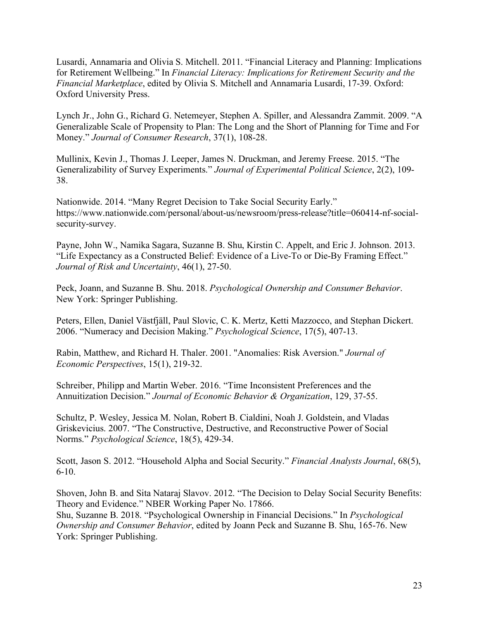Lusardi, Annamaria and Olivia S. Mitchell. 2011. "Financial Literacy and Planning: Implications for Retirement Wellbeing." In *Financial Literacy: Implications for Retirement Security and the Financial Marketplace*, edited by Olivia S. Mitchell and Annamaria Lusardi, 17-39. Oxford: Oxford University Press.

Lynch Jr., John G., Richard G. Netemeyer, Stephen A. Spiller, and Alessandra Zammit. 2009. "A Generalizable Scale of Propensity to Plan: The Long and the Short of Planning for Time and For Money." *Journal of Consumer Research*, 37(1), 108-28.

Mullinix, Kevin J., Thomas J. Leeper, James N. Druckman, and Jeremy Freese. 2015. "The Generalizability of Survey Experiments." *Journal of Experimental Political Science*, 2(2), 109- 38.

Nationwide. 2014. "Many Regret Decision to Take Social Security Early." https://www.nationwide.com/personal/about-us/newsroom/press-release?title=060414-nf-socialsecurity-survey.

Payne, John W., Namika Sagara, Suzanne B. Shu, Kirstin C. Appelt, and Eric J. Johnson. 2013. "Life Expectancy as a Constructed Belief: Evidence of a Live-To or Die-By Framing Effect." *Journal of Risk and Uncertainty*, 46(1), 27-50.

Peck, Joann, and Suzanne B. Shu. 2018. *Psychological Ownership and Consumer Behavior*. New York: Springer Publishing.

Peters, Ellen, Daniel Västfjäll, Paul Slovic, C. K. Mertz, Ketti Mazzocco, and Stephan Dickert. 2006. "Numeracy and Decision Making." *Psychological Science*, 17(5), 407-13.

Rabin, Matthew, and Richard H. Thaler. 2001. "Anomalies: Risk Aversion." *Journal of Economic Perspectives*, 15(1), 219-32.

Schreiber, Philipp and Martin Weber. 2016. "Time Inconsistent Preferences and the Annuitization Decision." *Journal of Economic Behavior & Organization*, 129, 37-55.

Schultz, P. Wesley, Jessica M. Nolan, Robert B. Cialdini, Noah J. Goldstein, and Vladas Griskevicius. 2007. "The Constructive, Destructive, and Reconstructive Power of Social Norms." *Psychological Science*, 18(5), 429-34.

Scott, Jason S. 2012. "Household Alpha and Social Security." *Financial Analysts Journal*, 68(5), 6-10.

Shoven, John B. and Sita Nataraj Slavov. 2012. "The Decision to Delay Social Security Benefits: Theory and Evidence." NBER Working Paper No. 17866.

Shu, Suzanne B. 2018. "Psychological Ownership in Financial Decisions." In *Psychological Ownership and Consumer Behavior*, edited by Joann Peck and Suzanne B. Shu, 165-76. New York: Springer Publishing.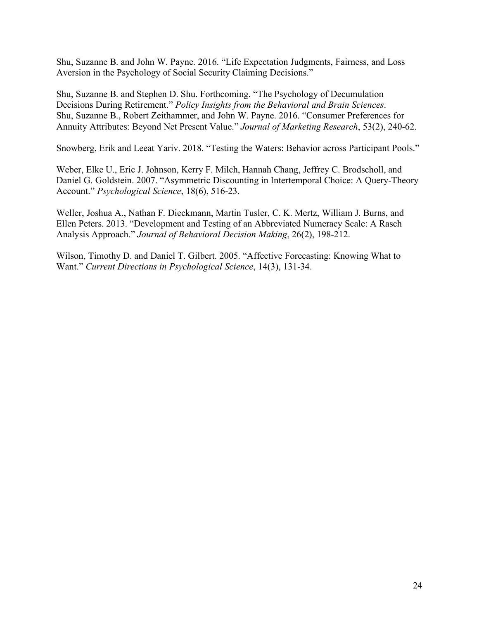Shu, Suzanne B. and John W. Payne. 2016. "Life Expectation Judgments, Fairness, and Loss Aversion in the Psychology of Social Security Claiming Decisions."

Shu, Suzanne B. and Stephen D. Shu. Forthcoming. "The Psychology of Decumulation Decisions During Retirement." *Policy Insights from the Behavioral and Brain Sciences*. Shu, Suzanne B., Robert Zeithammer, and John W. Payne. 2016. "Consumer Preferences for Annuity Attributes: Beyond Net Present Value." *Journal of Marketing Research*, 53(2), 240-62.

Snowberg, Erik and Leeat Yariv. 2018. "Testing the Waters: Behavior across Participant Pools."

Weber, Elke U., Eric J. Johnson, Kerry F. Milch, Hannah Chang, Jeffrey C. Brodscholl, and Daniel G. Goldstein. 2007. "Asymmetric Discounting in Intertemporal Choice: A Query-Theory Account." *Psychological Science*, 18(6), 516-23.

Weller, Joshua A., Nathan F. Dieckmann, Martin Tusler, C. K. Mertz, William J. Burns, and Ellen Peters. 2013. "Development and Testing of an Abbreviated Numeracy Scale: A Rasch Analysis Approach." *Journal of Behavioral Decision Making*, 26(2), 198-212.

Wilson, Timothy D. and Daniel T. Gilbert. 2005. "Affective Forecasting: Knowing What to Want." *Current Directions in Psychological Science*, 14(3), 131-34.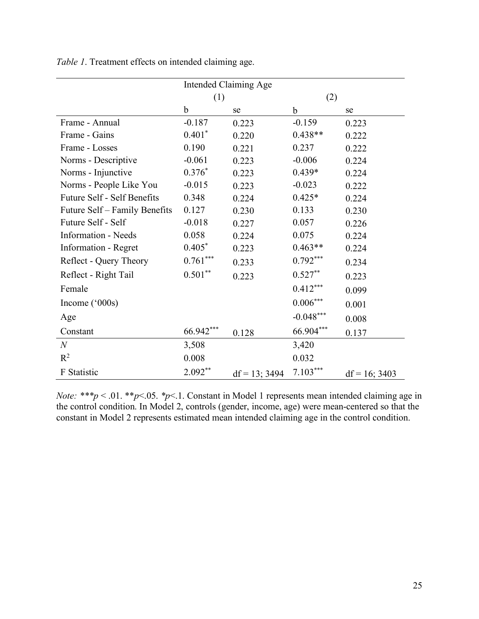|                                    |             | <b>Intended Claiming Age</b> |             |                  |
|------------------------------------|-------------|------------------------------|-------------|------------------|
|                                    | (1)         |                              | (2)         |                  |
|                                    | $\mathbf b$ | se                           | $\mathbf b$ | se               |
| Frame - Annual                     | $-0.187$    | 0.223                        | $-0.159$    | 0.223            |
| Frame - Gains                      | $0.401*$    | 0.220                        | $0.438**$   | 0.222            |
| Frame - Losses                     | 0.190       | 0.221                        | 0.237       | 0.222            |
| Norms - Descriptive                | $-0.061$    | 0.223                        | $-0.006$    | 0.224            |
| Norms - Injunctive                 | $0.376*$    | 0.223                        | $0.439*$    | 0.224            |
| Norms - People Like You            | $-0.015$    | 0.223                        | $-0.023$    | 0.222            |
| <b>Future Self - Self Benefits</b> | 0.348       | 0.224                        | $0.425*$    | 0.224            |
| Future Self – Family Benefits      | 0.127       | 0.230                        | 0.133       | 0.230            |
| Future Self - Self                 | $-0.018$    | 0.227                        | 0.057       | 0.226            |
| <b>Information - Needs</b>         | 0.058       | 0.224                        | 0.075       | 0.224            |
| Information - Regret               | $0.405*$    | 0.223                        | $0.463**$   | 0.224            |
| Reflect - Query Theory             | $0.761***$  | 0.233                        | $0.792***$  | 0.234            |
| Reflect - Right Tail               | $0.501**$   | 0.223                        | $0.527**$   | 0.223            |
| Female                             |             |                              | $0.412***$  | 0.099            |
| Income $(^{\circ}000s)$            |             |                              | $0.006***$  | 0.001            |
| Age                                |             |                              | $-0.048***$ | 0.008            |
| Constant                           | 66.942***   | 0.128                        | 66.904***   | 0.137            |
| $\mathcal N$                       | 3,508       |                              | 3,420       |                  |
| $R^2$                              | 0.008       |                              | 0.032       |                  |
| <b>F</b> Statistic                 | $2.092**$   | $df = 13$ ; 3494             | $7.103***$  | $df = 16$ ; 3403 |

*Table 1*. Treatment effects on intended claiming age.

*Note: \*\*\*p* < .01. \*\**p*<.05. *\*p*<.1. Constant in Model 1 represents mean intended claiming age in the control condition. In Model 2, controls (gender, income, age) were mean-centered so that the constant in Model 2 represents estimated mean intended claiming age in the control condition.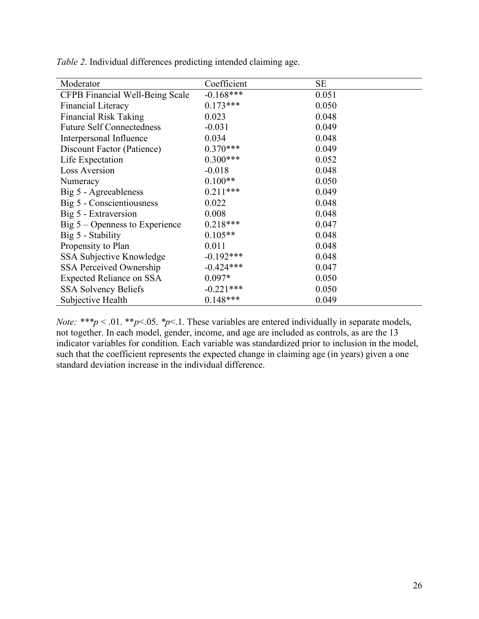| Moderator                        | Coefficient | <b>SE</b> |
|----------------------------------|-------------|-----------|
| CFPB Financial Well-Being Scale  | $-0.168***$ | 0.051     |
| Financial Literacy               | $0.173***$  | 0.050     |
| <b>Financial Risk Taking</b>     | 0.023       | 0.048     |
| <b>Future Self Connectedness</b> | $-0.031$    | 0.049     |
| Interpersonal Influence          | 0.034       | 0.048     |
| Discount Factor (Patience)       | $0.370***$  | 0.049     |
| Life Expectation                 | $0.300***$  | 0.052     |
| <b>Loss Aversion</b>             | $-0.018$    | 0.048     |
| Numeracy                         | $0.100**$   | 0.050     |
| Big 5 - Agreeableness            | $0.211***$  | 0.049     |
| Big 5 - Conscientiousness        | 0.022       | 0.048     |
| Big 5 - Extraversion             | 0.008       | 0.048     |
| Big $5 -$ Openness to Experience | $0.218***$  | 0.047     |
| Big 5 - Stability                | $0.105**$   | 0.048     |
| Propensity to Plan               | 0.011       | 0.048     |
| SSA Subjective Knowledge         | $-0.192***$ | 0.048     |
| <b>SSA Perceived Ownership</b>   | $-0.424***$ | 0.047     |
| <b>Expected Reliance on SSA</b>  | $0.097*$    | 0.050     |
| <b>SSA Solvency Beliefs</b>      | $-0.221***$ | 0.050     |
| Subjective Health                | $0.148***$  | 0.049     |

*Table 2*. Individual differences predicting intended claiming age.

*Note:* \*\*\* $p < .01$ . \*\* $p < .05$ . \* $p < .1$ . These variables are entered individually in separate models, not together. In each model, gender, income, and age are included as controls, as are the 13 indicator variables for condition. Each variable was standardized prior to inclusion in the model, such that the coefficient represents the expected change in claiming age (in years) given a one standard deviation increase in the individual difference.